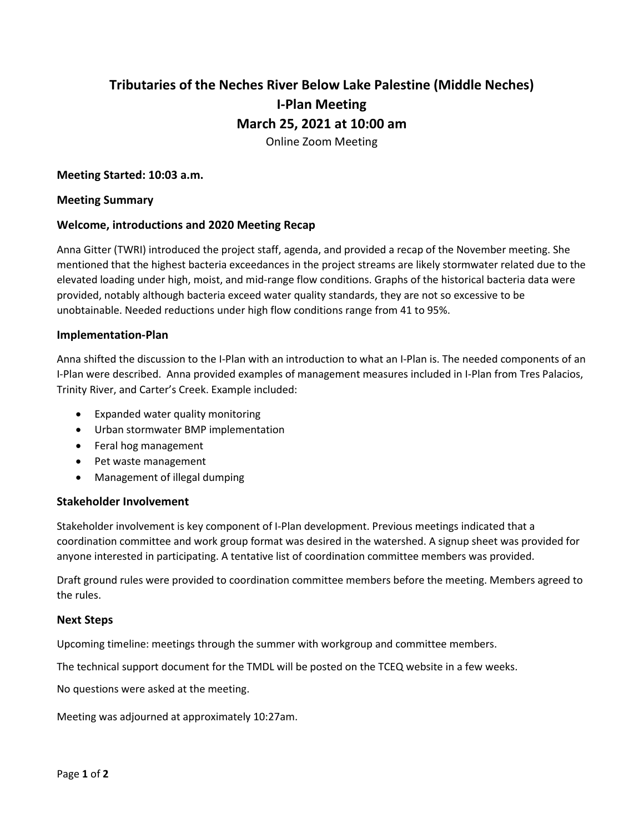# **Tributaries of the Neches River Below Lake Palestine (Middle Neches) I-Plan Meeting March 25, 2021 at 10:00 am** Online Zoom Meeting

#### **Meeting Started: 10:03 a.m.**

#### **Meeting Summary**

#### **Welcome, introductions and 2020 Meeting Recap**

Anna Gitter (TWRI) introduced the project staff, agenda, and provided a recap of the November meeting. She mentioned that the highest bacteria exceedances in the project streams are likely stormwater related due to the elevated loading under high, moist, and mid-range flow conditions. Graphs of the historical bacteria data were provided, notably although bacteria exceed water quality standards, they are not so excessive to be unobtainable. Needed reductions under high flow conditions range from 41 to 95%.

#### **Implementation-Plan**

Anna shifted the discussion to the I-Plan with an introduction to what an I-Plan is. The needed components of an I-Plan were described. Anna provided examples of management measures included in I-Plan from Tres Palacios, Trinity River, and Carter's Creek. Example included:

- Expanded water quality monitoring
- Urban stormwater BMP implementation
- Feral hog management
- Pet waste management
- Management of illegal dumping

### **Stakeholder Involvement**

Stakeholder involvement is key component of I-Plan development. Previous meetings indicated that a coordination committee and work group format was desired in the watershed. A signup sheet was provided for anyone interested in participating. A tentative list of coordination committee members was provided.

Draft ground rules were provided to coordination committee members before the meeting. Members agreed to the rules.

#### **Next Steps**

Upcoming timeline: meetings through the summer with workgroup and committee members.

The technical support document for the TMDL will be posted on the TCEQ website in a few weeks.

No questions were asked at the meeting.

Meeting was adjourned at approximately 10:27am.